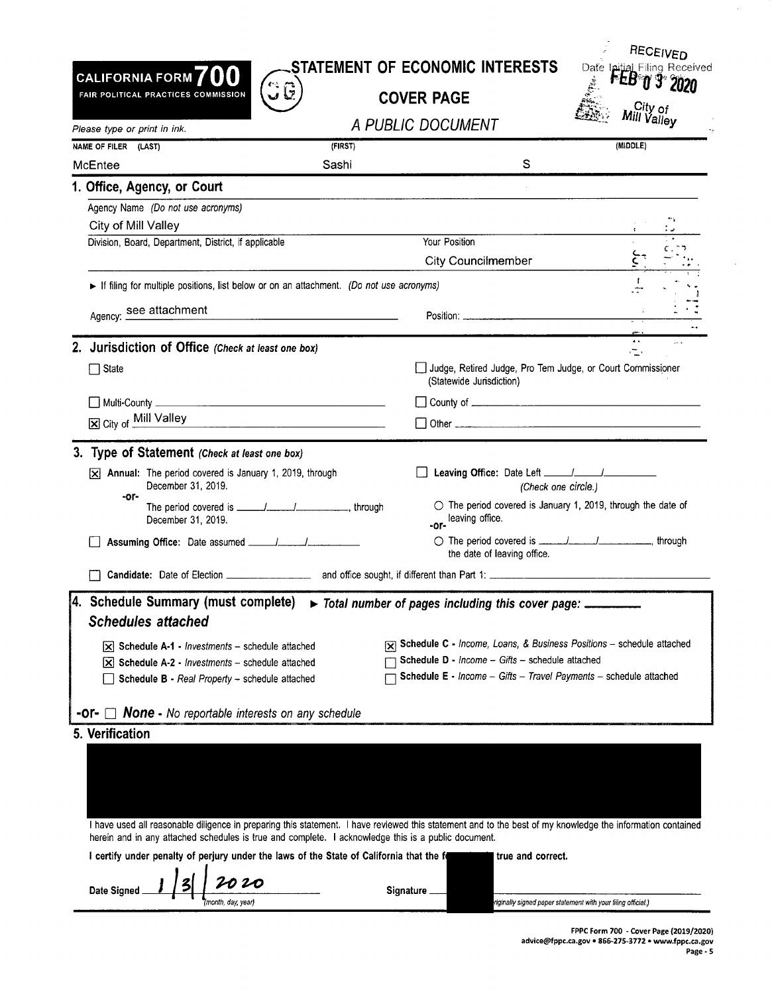| STATEMENT OF ECONOMIC INTERESTS |  |  |
|---------------------------------|--|--|
|                                 |  |  |

**CALIFORNIA FORM 700**  FAIR POLITICAL PRACTICES COMMISSION

**COVER PAGE** 



| Please type or print in ink.                                                                                                                                                                                                                                      |                                                                                                                      | A PUBLIC DOCUMENT                                                                        | <sup>Will</sup> Valley                                                         |  |
|-------------------------------------------------------------------------------------------------------------------------------------------------------------------------------------------------------------------------------------------------------------------|----------------------------------------------------------------------------------------------------------------------|------------------------------------------------------------------------------------------|--------------------------------------------------------------------------------|--|
| NAME OF FILER (LAST)                                                                                                                                                                                                                                              | (FIRST)                                                                                                              |                                                                                          | (MIDDLE)                                                                       |  |
| McEntee                                                                                                                                                                                                                                                           | Sashi                                                                                                                | S                                                                                        |                                                                                |  |
| 1. Office, Agency, or Court                                                                                                                                                                                                                                       |                                                                                                                      |                                                                                          |                                                                                |  |
| Agency Name (Do not use acronyms)                                                                                                                                                                                                                                 |                                                                                                                      |                                                                                          |                                                                                |  |
| City of Mill Valley                                                                                                                                                                                                                                               |                                                                                                                      |                                                                                          |                                                                                |  |
| Division, Board, Department, District, if applicable                                                                                                                                                                                                              |                                                                                                                      | Your Position                                                                            |                                                                                |  |
|                                                                                                                                                                                                                                                                   |                                                                                                                      | <b>City Councilmember</b>                                                                |                                                                                |  |
| If filing for multiple positions, list below or on an attachment. (Do not use acronyms)                                                                                                                                                                           |                                                                                                                      |                                                                                          | Т.                                                                             |  |
| Agency: see attachment                                                                                                                                                                                                                                            | <u> 1980 - January Marie Barn, mars and de la partie de la partie de la partie de la partie de la partie de la p</u> |                                                                                          |                                                                                |  |
| 2. Jurisdiction of Office (Check at least one box)                                                                                                                                                                                                                |                                                                                                                      |                                                                                          | $\bullet$ $\bullet$<br>C.                                                      |  |
| $\Box$ State                                                                                                                                                                                                                                                      |                                                                                                                      | Judge, Retired Judge, Pro Tem Judge, or Court Commissioner                               |                                                                                |  |
|                                                                                                                                                                                                                                                                   |                                                                                                                      | (Statewide Jurisdiction)                                                                 |                                                                                |  |
|                                                                                                                                                                                                                                                                   |                                                                                                                      |                                                                                          |                                                                                |  |
| City of Mill Valley<br><u> 1989 - Johann John Stone, mars ar yn y breninn y breninn y breninn y breninn y breninn y breninn y breninn y</u>                                                                                                                       |                                                                                                                      |                                                                                          |                                                                                |  |
| 3. Type of Statement (Check at least one box)                                                                                                                                                                                                                     |                                                                                                                      |                                                                                          |                                                                                |  |
| $[\times]$ Annual: The period covered is January 1, 2019, through                                                                                                                                                                                                 |                                                                                                                      | Leaving Office: Date Left ______/______/                                                 |                                                                                |  |
| December 31, 2019.                                                                                                                                                                                                                                                |                                                                                                                      |                                                                                          | (Check one circle.)                                                            |  |
| -or-<br>December 31, 2019.                                                                                                                                                                                                                                        |                                                                                                                      | -or-leaving office.                                                                      | $\circlearrowright$ The period covered is January 1, 2019, through the date of |  |
|                                                                                                                                                                                                                                                                   |                                                                                                                      | the date of leaving office.                                                              |                                                                                |  |
|                                                                                                                                                                                                                                                                   |                                                                                                                      |                                                                                          |                                                                                |  |
| 4. Schedule Summary (must complete)<br><b>Schedules attached</b>                                                                                                                                                                                                  |                                                                                                                      | Total number of pages including this cover page: _________                               |                                                                                |  |
| $\mathbf{\times}$ Schedule A-1 - Investments – schedule attached                                                                                                                                                                                                  |                                                                                                                      | $\sqrt{\mathbf{x}}$ Schedule C - Income, Loans, & Business Positions - schedule attached |                                                                                |  |
| $[\times]$ Schedule A-2 - Investments – schedule attached                                                                                                                                                                                                         |                                                                                                                      | Schedule D - Income - Gifts - schedule attached                                          |                                                                                |  |
| Schedule B - Real Property - schedule attached                                                                                                                                                                                                                    |                                                                                                                      | Schedule E - Income - Gifts - Travel Payments - schedule attached                        |                                                                                |  |
| $\Box$ <b>None -</b> No reportable interests on any schedule<br>-or- ।                                                                                                                                                                                            |                                                                                                                      |                                                                                          |                                                                                |  |
| 5. Verification                                                                                                                                                                                                                                                   |                                                                                                                      |                                                                                          |                                                                                |  |
|                                                                                                                                                                                                                                                                   |                                                                                                                      |                                                                                          |                                                                                |  |
|                                                                                                                                                                                                                                                                   |                                                                                                                      |                                                                                          |                                                                                |  |
|                                                                                                                                                                                                                                                                   |                                                                                                                      |                                                                                          |                                                                                |  |
|                                                                                                                                                                                                                                                                   |                                                                                                                      |                                                                                          |                                                                                |  |
| I have used all reasonable diligence in preparing this statement. I have reviewed this statement and to the best of my knowledge the information contained<br>herein and in any attached schedules is true and complete. I acknowledge this is a public document. |                                                                                                                      |                                                                                          |                                                                                |  |
| I certify under penalty of perjury under the laws of the State of California that the fo                                                                                                                                                                          |                                                                                                                      | true and correct.                                                                        |                                                                                |  |
| Date Signed                                                                                                                                                                                                                                                       |                                                                                                                      | <b>Signature</b>                                                                         |                                                                                |  |
| month, day, year)                                                                                                                                                                                                                                                 |                                                                                                                      |                                                                                          | riginally signed paper statement with your filing official.)                   |  |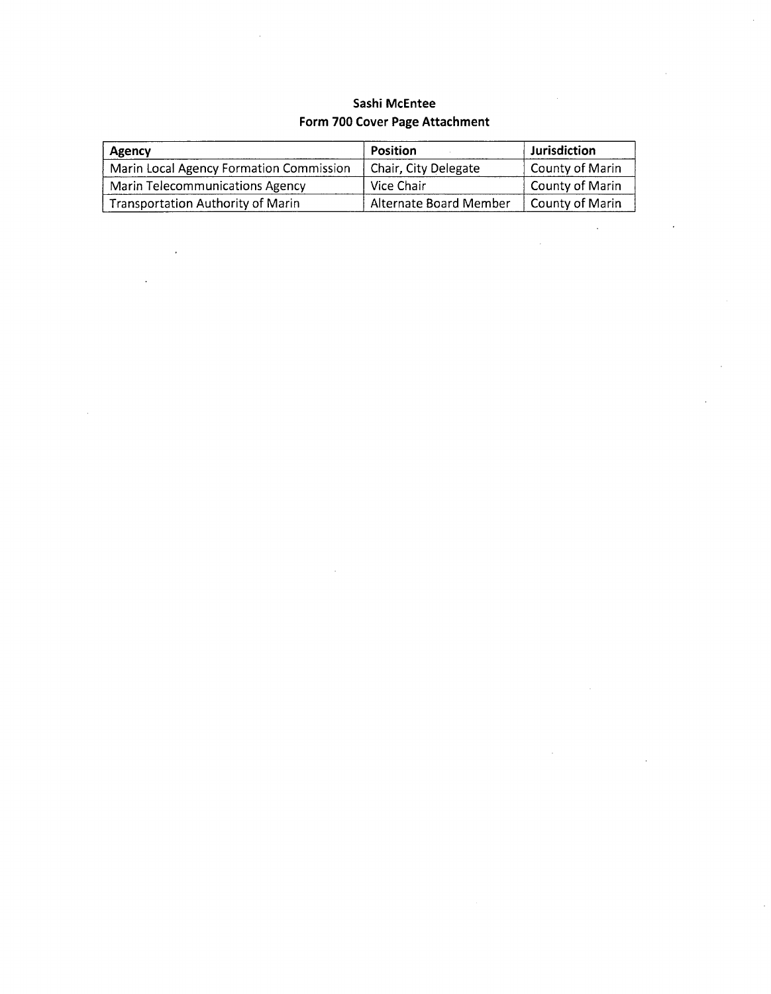### **Sashi McEntee Form 700 Cover Page Attachment**

 $\ddot{\phantom{a}}$ 

| Agency                                   | Position               | Jurisdiction    |
|------------------------------------------|------------------------|-----------------|
| Marin Local Agency Formation Commission  | Chair, City Delegate   | County of Marin |
| <b>Marin Telecommunications Agency</b>   | Vice Chair             | County of Marin |
| <b>Transportation Authority of Marin</b> | Alternate Board Member | County of Marin |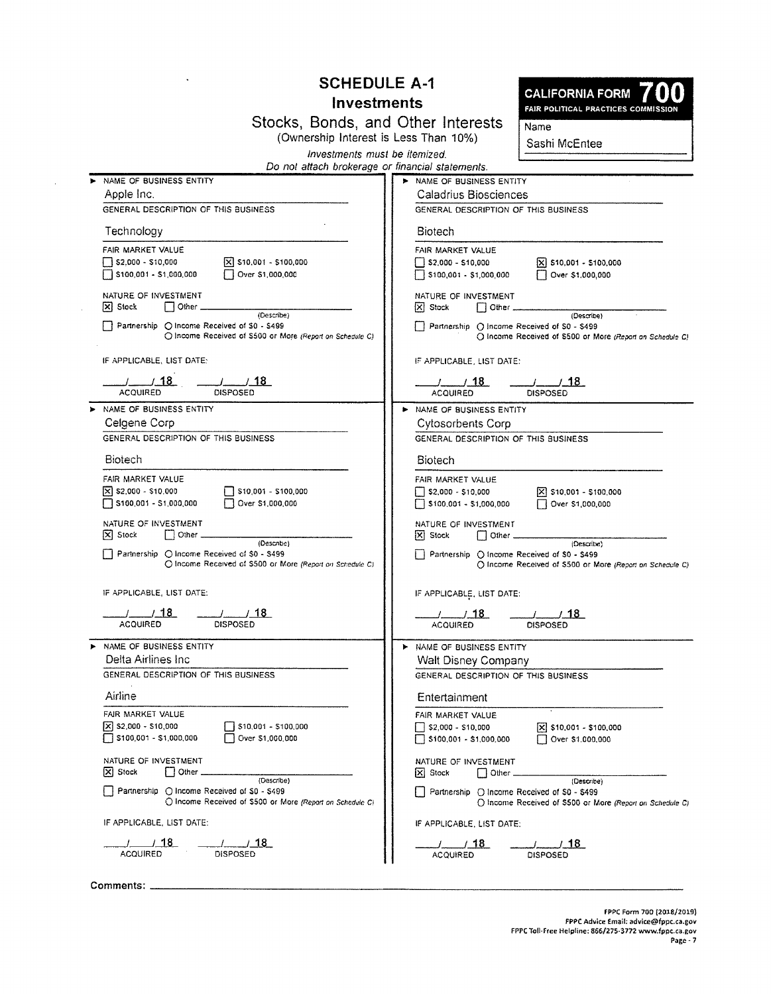## **SCHEDULE A-1**

## **Investments**

**CALIFORNIA FORM** 

FAIR POLITICAL PRACTICES COMMISSION

| Stocks, Bonds, and Other Interests |                                       |  |  |  |
|------------------------------------|---------------------------------------|--|--|--|
|                                    | (Ownership Interest is Less Than 10%) |  |  |  |

Sashi McEntee

Name

Investments must be itemized.

| Do not attach brokerage or financial statements. |  |  |
|--------------------------------------------------|--|--|
|                                                  |  |  |

| NAME OF BUSINESS ENTITY                                                                                                   | > NAME OF BUSINESS ENTITY                                                                                                 |
|---------------------------------------------------------------------------------------------------------------------------|---------------------------------------------------------------------------------------------------------------------------|
| Apple Inc.                                                                                                                | <b>Caladrius Biosciences</b>                                                                                              |
| GENERAL DESCRIPTION OF THIS BUSINESS                                                                                      | GENERAL DESCRIPTION OF THIS BUSINESS                                                                                      |
| Technology                                                                                                                | Biotech                                                                                                                   |
| FAIR MARKET VALUE                                                                                                         | FAIR MARKET VALUE                                                                                                         |
| $\sqrt{X}$ \$10,001 - \$100,000<br>$\Box$ \$2,000 - \$10,000                                                              | $\begin{bmatrix} 82,000 - 510,000 \end{bmatrix}$<br>$\bar{x}$ \$10,001 - \$100,000                                        |
| Over \$1,000,000<br>S100,001 - \$1,000,000                                                                                | $\Box$ \$100,001 - \$1,000,000<br>Over \$1,000,000                                                                        |
| NATURE OF INVESTMENT<br>$\Box$ Other $\_\_$<br>$ \mathsf{x} $ Stock                                                       | NATURE OF INVESTMENT<br>$ X $ Stock<br>$\Box$ Other $\Box$                                                                |
| (Describe)<br>Partnership O Income Received of S0 - \$499<br>O Income Received of \$500 or More (Report on Schedule C)    | (Describe)<br>Partnership O Income Received of \$0 - \$499<br>O Income Received of \$500 or More (Report on Schedule C)   |
| IF APPLICABLE, LIST DATE:                                                                                                 | IF APPLICABLE, LIST DATE:                                                                                                 |
| $\frac{1}{18}$<br>$-1$ $18$<br>ACQUIRED                                                                                   | $\frac{1}{18}$<br>$\frac{1}{2}$ $\frac{18}{2}$<br><b>ACQUIRED</b><br><b>DISPOSED</b>                                      |
| > NAME OF BUSINESS ENTITY                                                                                                 | > NAME OF BUSINESS ENTITY                                                                                                 |
| Celgene Corp                                                                                                              | <b>Cytosorbents Corp</b>                                                                                                  |
| GENERAL DESCRIPTION OF THIS BUSINESS                                                                                      | GENERAL DESCRIPTION OF THIS BUSINESS                                                                                      |
| <b>Biotech</b>                                                                                                            | <b>Biotech</b>                                                                                                            |
|                                                                                                                           |                                                                                                                           |
| FAIR MARKET VALUE                                                                                                         | FAIR MARKET VALUE                                                                                                         |
| $\mathbf{\nabla}$ \$2,000 - \$10.000<br>$\Box$ \$10,001 - \$100,000<br>Over \$1,000,000<br>5100,001 - \$1,000,000         | $\frac{1}{2}$ \$2,000 - \$10,000<br>$X$ \$10,001 - \$100,000<br>$\Box$ \$100,001 - \$1,000,000<br>Over \$1,000,000        |
| NATURE OF INVESTMENT<br>$[\mathbf{x}]$ Stock<br>$\Box$ Other $\Box$                                                       | NATURE OF INVESTMENT<br>$ X $ Stock<br>$\Box$ Other $\_\_$                                                                |
| (Describe)<br>Partnership (C) Income Received of \$0 - \$499<br>O Income Received of \$500 or More (Report on Schedule C) | (Describe)<br>  Partnership () Income Received of S0 - \$499<br>O Income Received of \$500 or More (Report on Schedule C) |
| IF APPLICABLE, LIST DATE:                                                                                                 | IF APPLICABLE, LIST DATE:                                                                                                 |
| __________________ <u>___18_</u><br><b>DISPOSED</b><br><b>ACQUIRED</b>                                                    | <b>ACQUIRED</b><br><b>DISPOSED</b>                                                                                        |
| NAME OF BUSINESS ENTITY                                                                                                   | A NAME OF BUSINESS ENTITY                                                                                                 |
| Delta Airlines Inc.                                                                                                       | Walt Disney Company                                                                                                       |
| GENERAL DESCRIPTION OF THIS BUSINESS                                                                                      | GENERAL DESCRIPTION OF THIS BUSINESS                                                                                      |
| Airline                                                                                                                   | Entertainment                                                                                                             |
| FAIR MARKET VALUE                                                                                                         | FAIR MARKET VALUE                                                                                                         |
| $\vert x \vert$ \$2,000 - \$10,000<br>$510,001 - 5100,000$                                                                | $\bar{x}$ \$10,001 - \$100,000<br>$ $ \$2,000 - \$10,000                                                                  |
| Over \$1,000,000<br>5100,001 - \$1,000,000                                                                                | $\Box$ \$100,001 - \$1,000,000<br>Over \$1,000,000                                                                        |
| NATURE OF INVESTMENT                                                                                                      | NATURE OF INVESTMENT                                                                                                      |
| $ X $ Stock<br>l   Other .<br>(Describe)                                                                                  | <b>X</b> Stock<br>│ │ Other <sub>-</sub><br>(Describe)                                                                    |
| Partnership ◯ Income Received of \$0 - \$499<br>O Income Received of \$500 or More (Report on Schedule C)                 | Partnership () Income Received of \$0 - \$499<br>O Income Received of \$500 or More (Report on Schedule C)                |
| IF APPLICABLE, LIST DATE:                                                                                                 | IF APPLICABLE, LIST DATE:                                                                                                 |
| /_____/___18_<br>_/_____/_18<br>DISPOSED<br>ACQUIRED                                                                      | 1/18<br>$/$ $/$ 18<br><b>ACQUIRED</b><br><b>DISPOSED</b>                                                                  |
|                                                                                                                           |                                                                                                                           |

Comments:

 $\sim$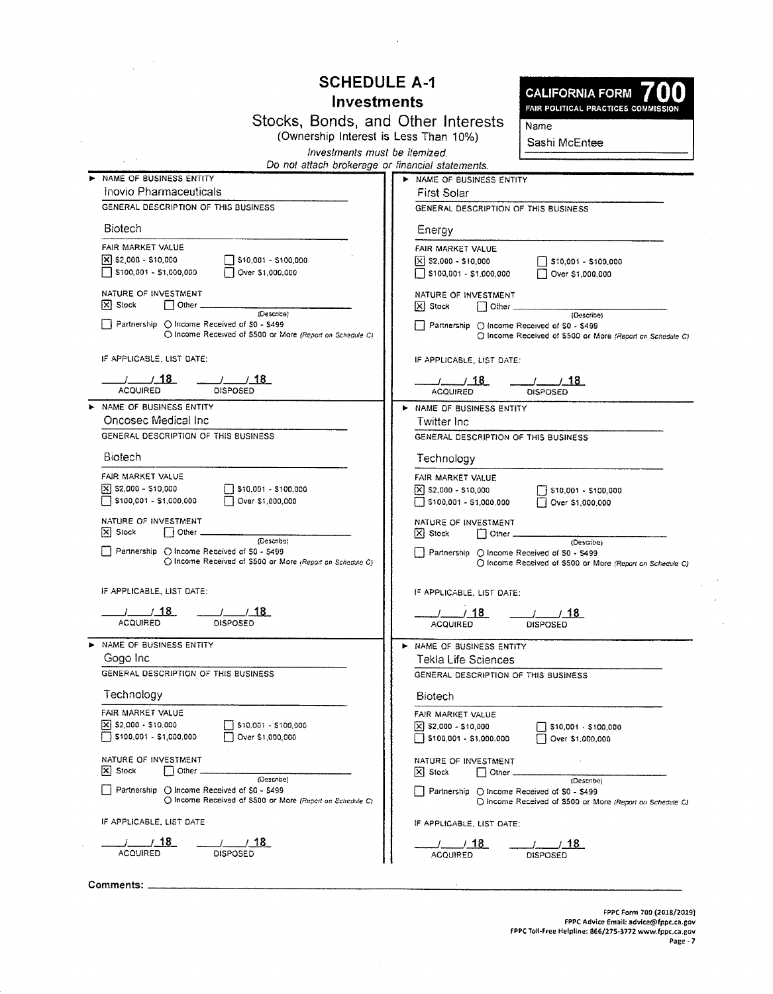## **SCHEDULE A-1**

## **Investments**

Stocks, Bonds, and Other Interests<br>(Ownership Interest is Less Than 10%)



 $Name$ Sashi McEntee

|  |  |  | Investments must be itemized. |  |
|--|--|--|-------------------------------|--|
|  |  |  |                               |  |

Do not attach brokerage or financial statements

| > NAME OF BUSINESS ENTITY                                                                                  | MAME OF BUSINESS ENTITY                                                                                    |
|------------------------------------------------------------------------------------------------------------|------------------------------------------------------------------------------------------------------------|
| Inovio Pharmaceuticals                                                                                     | <b>First Solar</b>                                                                                         |
| GENERAL DESCRIPTION OF THIS BUSINESS                                                                       | GENERAL DESCRIPTION OF THIS BUSINESS                                                                       |
| <b>Biotech</b>                                                                                             | Energy                                                                                                     |
| FAIR MARKET VALUE                                                                                          | FAIR MARKET VALUE                                                                                          |
| $\Box$ \$10,001 - \$100,000<br>$\mathbf{x}$ \$2,000 - \$10,000                                             | $\vert\vec{x}\vert$ \$2,000 - \$10,000                                                                     |
| S100,001 - \$1,000,000<br>Over \$1,000,000                                                                 | $\Box$ \$10,001 - \$100,000                                                                                |
|                                                                                                            | S100,001 - \$1,000,000<br>Over \$1,000,000                                                                 |
| NATURE OF INVESTMENT<br>$ \mathsf{X} $ Stock<br>$\Box$ Other $\Box$                                        | NATURE OF INVESTMENT                                                                                       |
| (Describe)                                                                                                 | $ X $ Stock<br>  Other ______________<br>(Describe)                                                        |
| Partnership () Income Received of \$0 - \$499<br>O Income Received of \$500 or More (Report on Schedule C) | Partnership () Income Received of \$0 - \$499<br>O Income Received of \$500 or More (Report on Schedule C) |
| IF APPLICABLE, LIST DATE:                                                                                  | IF APPLICABLE, LIST DATE:                                                                                  |
| $\frac{1}{2}$ $\frac{1}{18}$                                                                               | 7718                                                                                                       |
| <b>ACQUIRED</b><br><b>DISPOSED</b>                                                                         | <b>ACQUIRED</b><br><b>DISPOSED</b>                                                                         |
| NAME OF BUSINESS ENTITY                                                                                    | > NAME OF BUSINESS ENTITY                                                                                  |
| Oncosec Medical Inc.                                                                                       | Twitter Inc.                                                                                               |
| GENERAL DESCRIPTION OF THIS BUSINESS                                                                       | GENERAL DESCRIPTION OF THIS BUSINESS                                                                       |
| <b>Biotech</b>                                                                                             | Technology                                                                                                 |
| FAIR MARKET VALUE                                                                                          | FAIR MARKET VALUE                                                                                          |
| $\sqrt{2}$ \$2,000 - \$10,000<br>$\Box$ \$10,001 - \$100,000                                               | $[X]$ \$2,000 - \$10,000<br>$\Box$ \$10,001 - \$100,000                                                    |
| 5100,001 - \$1,000,000<br>Over \$1,000,000                                                                 | $\Box$ \$100,001 - \$1,000,000<br>Over \$1,000,000                                                         |
| NATURE OF INVESTMENT<br>$\mathsf{X}$ Stock<br>$ $ 0ther $-$                                                | NATURE OF INVESTMENT<br>$ X $ Stock                                                                        |
| (Describe)                                                                                                 | (Describe)                                                                                                 |
| Partnership O Income Received of \$0 - \$499<br>O Income Received of \$500 or More (Report on Schedule C)  | Partnership ( Income Received of S0 - S499                                                                 |
|                                                                                                            | O Income Received of \$500 or More (Report on Schedule C)                                                  |
| IF APPLICABLE, LIST DATE:                                                                                  | IF APPLICABLE, LIST DATE:                                                                                  |
| $\frac{1}{\sqrt{1.50}}$                                                                                    | $\frac{1}{1}$ 18                                                                                           |
| <b>ACQUIRED</b>                                                                                            | <b>ACQUIRED</b><br><b>DISPOSED</b>                                                                         |
| NAME OF BUSINESS ENTITY                                                                                    | NAME OF BUSINESS ENTITY                                                                                    |
| Gogo Inc                                                                                                   | Tekla Life Sciences                                                                                        |
| GENERAL DESCRIPTION OF THIS BUSINESS                                                                       | GENERAL DESCRIPTION OF THIS BUSINESS                                                                       |
| Technology                                                                                                 | <b>Biotech</b>                                                                                             |
| FAIR MARKET VALUE                                                                                          | FAIR MARKET VALUE                                                                                          |
| $\mathbf{x}$ \$2,000 - \$10,000<br>$\Box$ \$10,001 - \$100,000                                             | $\vert$ X $\vert$ \$2,000 - \$10,000<br>\$10,001 - \$100,000                                               |
| $\Box$ \$100,001 - \$1,000,000<br>Over \$1,000,000                                                         | $\Box$ \$100,001 - \$1,000,000<br>$\Box$ Over \$1,000,000                                                  |
| NATURE OF INVESTMENT                                                                                       | NATURE OF INVESTMENT                                                                                       |
| $ x $ Stock<br>Other.<br>(Describe)                                                                        | $\mathsf{X}$ Stock<br>$\vert$ Other.                                                                       |
| Partnership (C) Income Received of \$0 - \$499                                                             | (Describe)<br>Partnership () Income Received of \$0 - \$499                                                |
| ○ Income Received of \$500 or More (Report on Schedule C)                                                  | (C) Income Received of \$500 or More (Report on Schedule C)                                                |
| IF APPLICABLE, LIST DATE                                                                                   | IF APPLICABLE, LIST DATE:                                                                                  |
| $\_$ / 18<br>/ 18                                                                                          | / 18<br>18.                                                                                                |
| <b>ACQUIRED</b><br><b>DISPOSED</b>                                                                         | <b>ACQUIRED</b><br>DISPOSED                                                                                |

Comments: \_\_\_\_\_\_\_\_\_

÷.

 $\mathcal{L}_{\mathbf{q}}$  ,  $\mathcal{L}_{\mathbf{q}}$ 

 $\Delta \phi$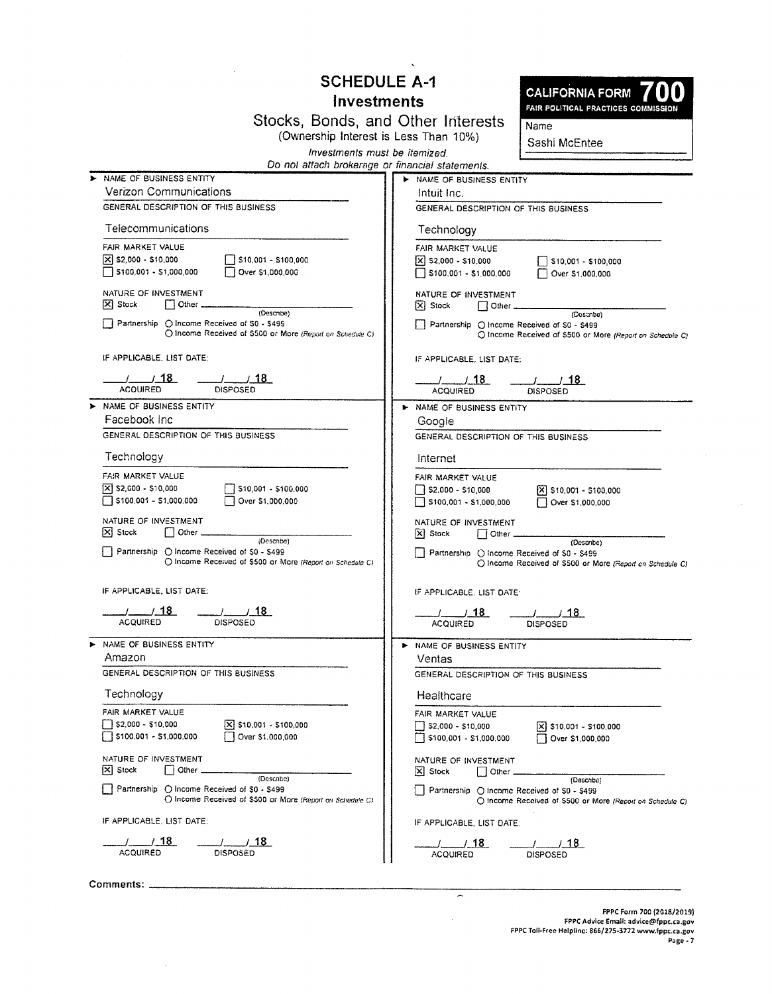# **SCHEDULE A-1**

## Investments

Stocks, Bonds, and Other Interests<br>(Ownership Interest is Less Than 10%)



**Name** Sashi McEntee

Investments must be itemized.

| Do not attach brokerage or financial statements. |  |  |
|--------------------------------------------------|--|--|
|                                                  |  |  |

| > NAME OF BUSINESS ENTITY                                                                                | IN NAME OF BUSINESS ENTITY                                                                               |
|----------------------------------------------------------------------------------------------------------|----------------------------------------------------------------------------------------------------------|
| <b>Verizon Communications</b>                                                                            | Intuit Inc.                                                                                              |
| GENERAL DESCRIPTION OF THIS BUSINESS                                                                     | GENERAL DESCRIPTION OF THIS BUSINESS                                                                     |
| Telecommunications                                                                                       | Technology                                                                                               |
| FAIR MARKET VALUE                                                                                        | FAIR MARKET VALUE                                                                                        |
| $\sqrt{2}$ \$2,000 - \$10,000<br>$\sqrt{510,001 - $100,000}$                                             | $ X $ \$2,000 - \$10,000<br>$\sqrt{510,001} - $100,000$                                                  |
| $\Box$ \$100,001 - \$1,000,000<br>Over \$1,000,000                                                       | $5100,001 - 51,000,000$<br>Over \$1,000,000                                                              |
| NATURE OF INVESTMENT<br>$ \mathsf{X} $ Stock<br>(Describe)                                               | NATURE OF INVESTMENT<br>$\Box$ Other $\_\_\_\_\_\_\$<br>$ X $ Stock<br>(Describe)                        |
| Partnership O Income Received of S0 - \$499<br>O Income Received of \$500 or More (Report on Schedule C) | Partnership ( Income Received of S0 - \$499<br>O Income Received of \$500 or More (Report on Schedule C) |
| IF APPLICABLE, LIST DATE:                                                                                | IF APPLICABLE, LIST DATE:                                                                                |
| $\frac{1}{\text{DISPOSED}}$<br>$-1$ $18$<br><b>ACQUIRED</b>                                              | $\frac{1}{\text{DISPOSED}}$<br>$    18$<br><b>ACQUIRED</b>                                               |
| > NAME OF BUSINESS ENTITY                                                                                | > NAME OF BUSINESS ENTITY                                                                                |
| Facebook Inc                                                                                             | Google                                                                                                   |
| GENERAL DESCRIPTION OF THIS BUSINESS                                                                     | GENERAL DESCRIPTION OF THIS BUSINESS                                                                     |
| Technology                                                                                               | Internet                                                                                                 |
| FAIR MARKET VALUE                                                                                        | FAIR MARKET VALUE                                                                                        |
| [X] \$2,000 - \$10,000<br>$\Box$ \$10,001 - \$100,000                                                    | $\vert X \vert$ \$10,001 - \$100,000                                                                     |
| S100.001 - \$1,000.000    Qver \$1,000,000                                                               | S100,001 - \$1,000,000<br>Over \$1,000,000                                                               |
| NATURE OF INVESTMENT<br>$\Box$ Other $\Box$<br>$[X]$ Stock                                               | NATURE OF INVESTMENT                                                                                     |
| (Describe)                                                                                               | $[X]$ Stock<br>$\Box$ Other $\Box$<br>(Describe)                                                         |
| Partnership O Income Received of \$0 - \$499                                                             | Partnership () Income Received of \$0 - \$499                                                            |
| O Income Received of \$500 or More (Report on Schedule C)                                                | O Income Received of \$500 or More (Report on Schedule C)                                                |
| IF APPLICABLE, LIST DATE:                                                                                | IF APPLICABLE, LIST DATE:                                                                                |
| $\frac{1}{18}$                                                                                           | $\frac{1}{18}$                                                                                           |
| <b>ACQUIRED</b><br><b>DISPOSED</b>                                                                       | $\frac{1}{\sqrt{1.55}}$ DISPOSED<br><b>ACQUIRED</b>                                                      |
| > NAME OF BUSINESS ENTITY                                                                                | > NAME OF BUSINESS ENTITY                                                                                |
| Amazon                                                                                                   | Ventas                                                                                                   |
| GENERAL DESCRIPTION OF THIS BUSINESS                                                                     | GENERAL DESCRIPTION OF THIS BUSINESS                                                                     |
| Technology                                                                                               | Healthcare                                                                                               |
| FAIR MARKET VALUE                                                                                        | FAIR MARKET VALUE                                                                                        |
| S2.000 - \$10.000<br>$\bar{x}$ \$10,001 - \$100,000                                                      | $\Box$ \$2,000 - \$10,000<br>$[X]$ \$10,001 - \$100,000                                                  |
| S100.001 - \$1,000,000<br>$\Box$ Over \$1,000,000                                                        | 5100,001 - \$1,000,000<br>Over \$1,000,000                                                               |
| NATURE OF INVESTMENT                                                                                     | NATURE OF INVESTMENT                                                                                     |
| $ \mathsf{X} $ Stock<br>Other _<br>(Describe)                                                            | $ \mathsf{X} $ Stock<br>$\vert$   Other.<br>(Describe)                                                   |
| Partnership (C) Income Received of \$0 - \$499                                                           | Partnership (C) Income Received of \$0 - \$499                                                           |
| O Income Received of \$500 or More (Report on Schedule C)                                                | O Income Received of \$500 or More (Report on Schedule C)                                                |
| IF APPLICABLE, LIST DATE:                                                                                | IF APPLICABLE, LIST DATE:                                                                                |
| <u>/ 18</u><br>__ <i>__________</i> ___18__                                                              | $\pm$ $\pm$ 18<br>1/18                                                                                   |
| ACQUIRED<br>DISPOSED                                                                                     | <b>ACQUIRED</b><br>DISPOSED                                                                              |

 $\overline{a}$ 

Comments: \_\_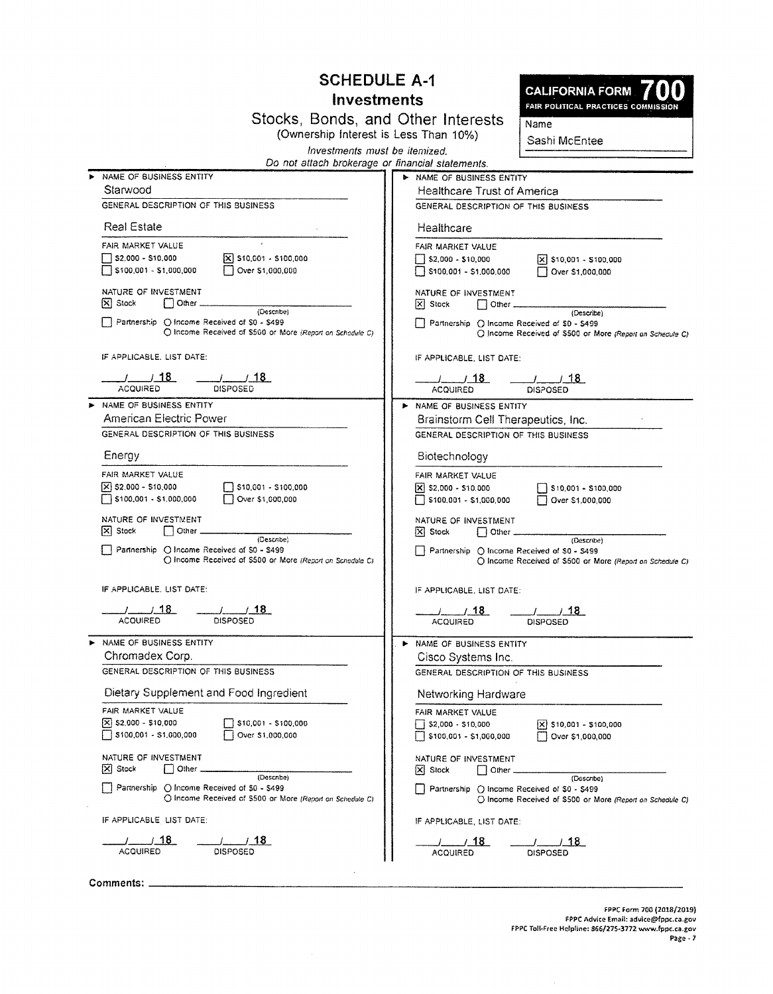### **SCHEDULE A-1** Investments

**CALIFORNIA FORM** FAIR POLITICAL PRACTICES COMMISSION

Stocks, Bonds, and Other Interests (Ownership Interest is Less Than 10%)

Sashi McEntee

 $Name$ 

Investments must be itemized. Do not attach brokerage or financial statements.

| NAME OF BUSINESS ENTITY                                                                                   | > NAME OF BUSINESS ENTITY                                                                                  |
|-----------------------------------------------------------------------------------------------------------|------------------------------------------------------------------------------------------------------------|
| Starwood                                                                                                  | <b>Healthcare Trust of America</b>                                                                         |
| GENERAL DESCRIPTION OF THIS BUSINESS                                                                      | GENERAL DESCRIPTION OF THIS BUSINESS                                                                       |
| <b>Real Estate</b>                                                                                        | Healthcare                                                                                                 |
|                                                                                                           |                                                                                                            |
| FAIR MARKET VALUE<br>$\sqrt{X}$ \$10,001 - \$100,000                                                      | FAIR MARKET VALUE                                                                                          |
| S2,000 - \$10,000                                                                                         | $\sqrt{X}$ \$10,001 - \$100,000<br>$52,000 - 510,000$                                                      |
| S100,001 - \$1,000,000<br>Over \$1,000,000                                                                | $\Box$ \$100,001 - \$1,000,000<br>Over \$1,000,000                                                         |
| NATURE OF INVESTMENT<br>$ \mathbf{X} $ Stock<br>$\Box$ Other $\Box$                                       | NATURE OF INVESTMENT<br>$ X $ Stock<br>  Other ______________                                              |
| (Describe)                                                                                                | (Describe)                                                                                                 |
| Partnership O Income Received of \$0 - \$499<br>O Income Received of \$500 or More (Report on Schadule C) | Partnership O Income Received of \$0 - \$499<br>C Income Received of \$500 or More (Report on Schedule C)  |
| IF APPLICABLE, LIST DATE:                                                                                 | IF APPLICABLE, LIST DATE:                                                                                  |
| $\frac{1}{18}$<br>$\frac{1}{18}$                                                                          | $\frac{1}{18}$                                                                                             |
| <b>ACQUIRED</b><br><b>DISPOSED</b>                                                                        | <b>DISPOSED</b><br><b>ACQUIRED</b>                                                                         |
| > NAME OF BUSINESS ENTITY                                                                                 | <b>NAME OF BUSINESS ENTITY</b>                                                                             |
| American Electric Power                                                                                   | Brainstorm Cell Therapeutics, Inc.                                                                         |
| GENERAL DESCRIPTION OF THIS BUSINESS                                                                      | GENERAL DESCRIPTION OF THIS BUSINESS                                                                       |
| Energy                                                                                                    | Biotechnology                                                                                              |
| FAIR MARKET VALUE                                                                                         | FAIR MARKET VALUE                                                                                          |
| $\Box$ \$10,001 - \$100,000<br>$[X]$ \$2,000 - \$10,000                                                   | $ \mathsf{X} $ \$2,000 - \$10,000<br>$\Box$ \$10,001 - \$100,000                                           |
| S100,001 - \$1,000,000<br>Over \$1,000,000                                                                | Over \$1,000,000<br>$\Box$ \$100,001 - \$1,000,000                                                         |
| NATURE OF INVESTMENT                                                                                      | NATURE OF INVESTMENT                                                                                       |
| $ \mathbf{x} $ Stock<br>$\Box$ Other $\_\_\_\$<br>(Describe)                                              | $ X $ Stock<br>(Describe)                                                                                  |
| Partnership O Income Received of \$0 - \$499<br>O Income Received of \$500 or More (Report on Schedule C) | Partnership () Income Received of \$0 - \$499<br>O Income Received of \$500 or More (Report on Schedule C) |
| IF APPLICABLE, LIST DATE:                                                                                 | IF APPLICABLE, LIST DATE:                                                                                  |
| $-1$ $18$<br>$\frac{1}{18}$                                                                               | $-1$ $18$<br><u>_/____/_18_</u>                                                                            |
| <b>ACQUIRED</b><br><b>DISPOSED</b>                                                                        | <b>ACQUIRED</b><br><b>DISPOSED</b>                                                                         |
| > NAME OF BUSINESS ENTITY                                                                                 | NAME OF BUSINESS ENTITY                                                                                    |
| Chromadex Corp.                                                                                           | Cisco Systems Inc.                                                                                         |
| GENERAL DESCRIPTION OF THIS BUSINESS                                                                      | GENERAL DESCRIPTION OF THIS BUSINESS                                                                       |
| Dietary Supplement and Food Ingredient                                                                    | Networking Hardware                                                                                        |
|                                                                                                           |                                                                                                            |
| FAIR MARKET VALUE                                                                                         | FAIR MARKET VALUE                                                                                          |
| X \$2,000 - \$10,000<br>\$10,001 - \$100,000<br>$\Box$ \$100,001 - \$1,000,000<br>Over \$1,000,000        | $\frac{1}{2}$ \$2,000 - \$10,000<br>$X$ \$10,001 - \$100,000                                               |
|                                                                                                           | $\Box$ \$100,001 - \$1,000,000<br>    Over \$1,000,000                                                     |
| NATURE OF INVESTMENT                                                                                      | NATURE OF INVESTMENT                                                                                       |
| [X] Stock<br>  Other<br>(Describe)                                                                        | $\Box$ Other $-$<br>$ X $ Stock<br>(Describe)                                                              |
| Partnership ( Income Received of \$0 - \$499                                                              | Partnership () Income Received of \$0 - \$499                                                              |
| O Income Received of \$500 or More (Report on Schedule C)                                                 | O Income Received of \$500 or More (Report on Schedule C)                                                  |
| IF APPLICABLE LIST DATE:                                                                                  | IF APPLICABLE, LIST DATE:                                                                                  |
| /____/_18_<br>__/_18_                                                                                     | / 18<br>.18.                                                                                               |
| <b>ACQUIRED</b><br>DISPOSED                                                                               | <b>ACQUIRED</b><br><b>DISPOSED</b>                                                                         |

 $\bar{z}$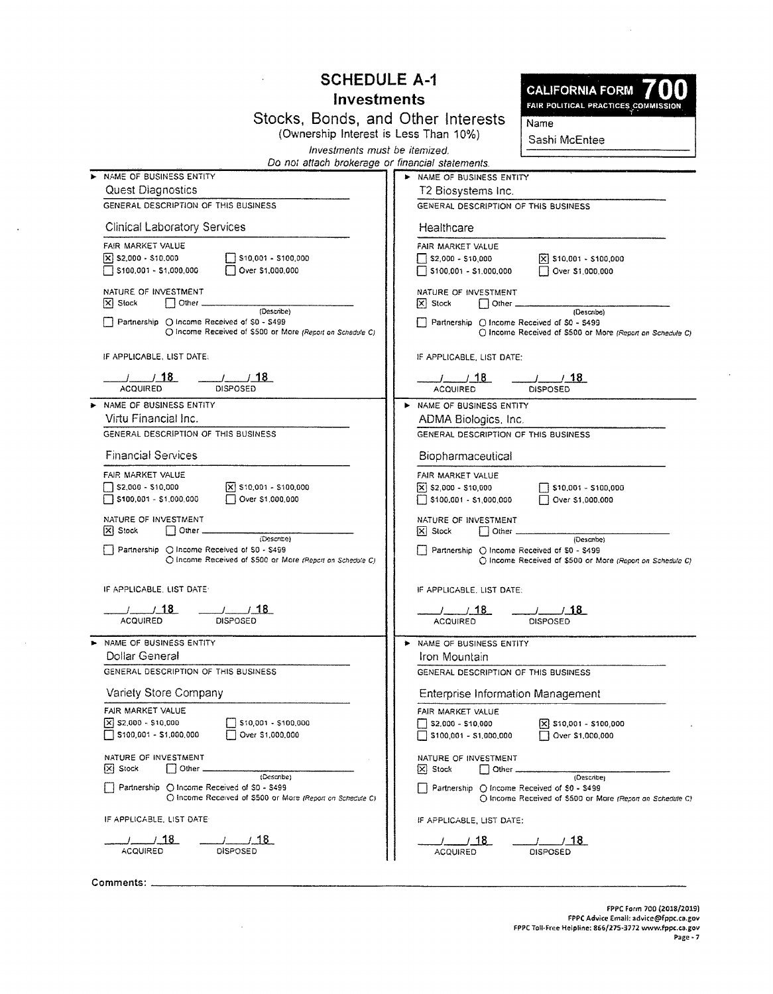|                                                                                                                                             | <b>SCHEDULE A-1</b>                                                         |                                                                                         |                                                                         |
|---------------------------------------------------------------------------------------------------------------------------------------------|-----------------------------------------------------------------------------|-----------------------------------------------------------------------------------------|-------------------------------------------------------------------------|
| <b>Investments</b>                                                                                                                          |                                                                             |                                                                                         | <b>CALIFORNIA FORM</b><br>FAIR POLITICAL PRACTICES COMMISSION           |
| Investments must be itemized.                                                                                                               | Stocks, Bonds, and Other Interests<br>(Ownership Interest is Less Than 10%) |                                                                                         |                                                                         |
| Do not attach brokerage or financial statements.                                                                                            |                                                                             |                                                                                         |                                                                         |
| > NAME OF BUSINESS ENTITY<br><b>Quest Diagnostics</b><br>GENERAL DESCRIPTION OF THIS BUSINESS                                               |                                                                             | > NAME OF BUSINESS ENTITY<br>T2 Biosystems Inc.<br>GENERAL DESCRIPTION OF THIS BUSINESS |                                                                         |
| <b>Clinical Laboratory Services</b>                                                                                                         |                                                                             | Healthcare                                                                              |                                                                         |
| FAIR MARKET VALUE<br>S10,001 - \$100,000<br>X S2,000 - \$10,000<br>$\sqrt{5100.001 - $1.000.000}$<br>Over \$1,000,000                       |                                                                             | FAIR MARKET VALUE<br>$\sqrt{ }$ \$2,000 - \$10,000<br>$\sqrt{5100,001 - $1,000,000}$    | $\bar{x}$ \$10,001 - \$100,000<br>Over \$1,000,000                      |
| NATURE OF INVESTMENT<br>$ X $ Stock<br>Other                                                                                                |                                                                             | NATURE OF INVESTMENT<br>$ \mathsf{X} $ Stock<br>Other _                                 |                                                                         |
| (Describe)<br>Partnership O Income Received of \$0 - \$499<br>O Income Received of \$500 or More (Report on Schedule C)                     |                                                                             | Partnership ( Income Received of \$0 - \$499                                            | (Describe)<br>○ Income Received of \$500 or More (Report on Schedule C) |
| IF APPLICABLE, LIST DATE:                                                                                                                   |                                                                             | IF APPLICABLE. LIST DATE:                                                               |                                                                         |
| $\frac{1}{1}$ $\frac{13}{18}$<br>$\frac{1}{18}$<br><b>ACOURED</b><br>DISPOSED                                                               |                                                                             | $\frac{1}{1}$ 18<br><b>ACQUIRED</b>                                                     | $\frac{1}{2}$ $\frac{1}{2}$ 18<br>DISPOSED                              |
| > NAME OF BUSINESS ENTITY                                                                                                                   |                                                                             | IN NAME OF BUSINESS ENTITY                                                              |                                                                         |
| Virtu Financial Inc.<br>GENERAL DESCRIPTION OF THIS BUSINESS                                                                                |                                                                             | ADMA Biologics, Inc.<br>GENERAL DESCRIPTION OF THIS BUSINESS                            |                                                                         |
| <b>Financial Services</b>                                                                                                                   |                                                                             | Biopharmaceutical                                                                       |                                                                         |
| FAIR MARKET VALUE<br>$\sqrt{52,000 - 510,000}$<br>$ \mathsf{X} $ \$10,001 - \$100,000<br>$\Box$ \$100,001 - \$1,000,000<br>Over \$1,000,000 |                                                                             | FAIR MARKET VALUE<br>$[\times]$ \$2,000 - \$10,000<br>$\Box$ \$100,001 - \$1,000,000    | $ $ \$10,001 - \$100,000<br>Over \$1,000,000                            |
| NATURE OF INVESTMENT<br>[X] Stock<br>Other _                                                                                                |                                                                             | NATURE OF INVESTMENT<br>$ \overline{x} $ Stock<br>$\Box$ Other $\Box$                   |                                                                         |
| (Describe)<br>Partnership C Income Received of S0 - \$499<br>O Income Received of \$500 or More (Report on Schedule C)                      |                                                                             | Partnership () Income Received of \$0 - \$499                                           | (Describe)<br>C Income Received of \$500 or More (Report on Schedule C) |
| IF APPLICABLE, LIST DATE:                                                                                                                   |                                                                             | IF APPLICABLE, LIST DATE:                                                               |                                                                         |
| <b>DISPOSED</b><br><b>ACQUIRED</b>                                                                                                          |                                                                             | ⊿ 18<br><b>ACQUIRED</b>                                                                 | <b>DISPOSED</b>                                                         |
| NAME OF BUSINESS ENTITY<br><b>Dollar General</b>                                                                                            |                                                                             | NAME OF BUSINESS ENTITY                                                                 |                                                                         |
| GENERAL DESCRIPTION OF THIS BUSINESS                                                                                                        |                                                                             | Iron Mountain<br>GENERAL DESCRIPTION OF THIS BUSINESS                                   |                                                                         |
| Variety Store Company                                                                                                                       |                                                                             | <b>Enterprise Information Management</b>                                                |                                                                         |
| FAIR MARKET VALUE                                                                                                                           |                                                                             | FAIR MARKET VALUE                                                                       |                                                                         |
| $X$ \$2,000 - \$10,000<br>\$10,001 - \$100,000<br>\$100,001 - \$1,000,000<br>Over \$1,000,000                                               |                                                                             | 52.000 - \$10.000<br>$$100,001 - $1,000,000$                                            | \$10,001 - \$100,000<br>Over \$1,000,000                                |
| NATURE OF INVESTMENT<br>X Stock<br>Other                                                                                                    |                                                                             | NATURE OF INVESTMENT<br> X  Stock<br>Other                                              |                                                                         |
| (Describe)<br>Partnership () Income Received of \$0 - \$499<br>O Income Received of \$500 or More (Report on Schedule C)                    |                                                                             | Partnership ○ Income Received of \$0 - \$499                                            | (Describe)<br>O Income Received of \$500 or Mare (Report on Schedule C) |
| IF APPLICABLE, LIST DATE                                                                                                                    |                                                                             | IF APPLICABLE, LIST DATE:                                                               |                                                                         |
| /18<br>718<br><b>ACQUIRED</b><br><b>DISPOSED</b>                                                                                            |                                                                             | / 18<br><b>ACQUIRED</b>                                                                 | / 18<br><b>DISPOSED</b>                                                 |

 $\sim$   $\sim$ 

 $\sim$   $\sim$ 

 $\sim 10$ 

 $\hat{\mathcal{A}}$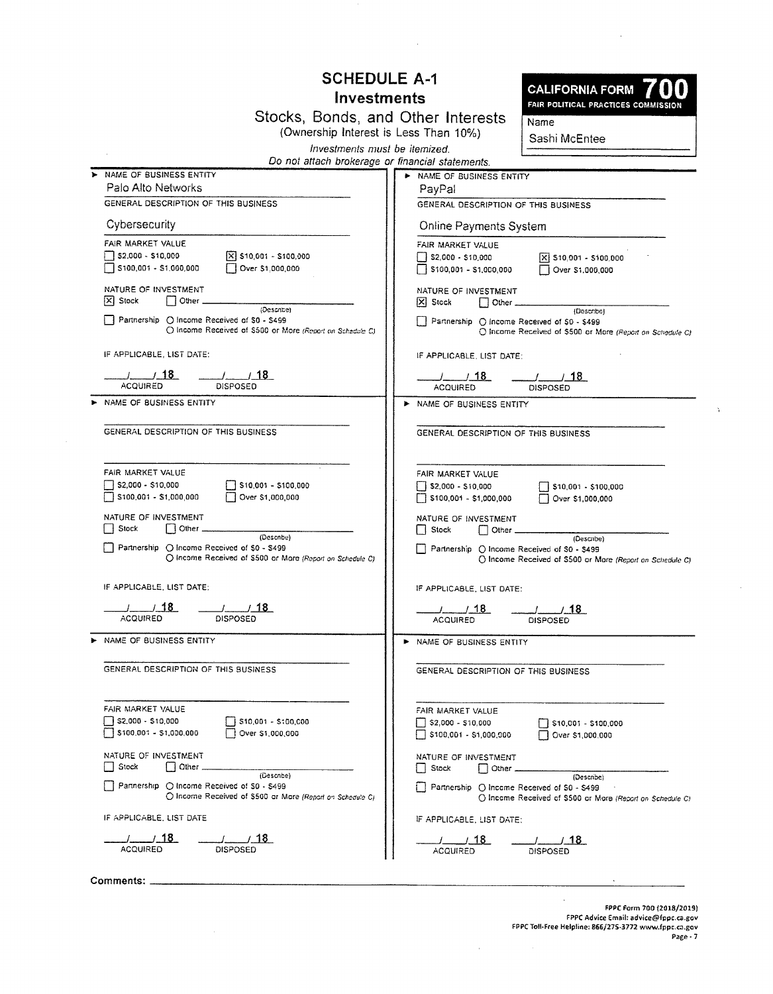### **SCHEDULE A-1 Investments**

| <b>CALIFORNIA FORM / 00</b><br>FAIR POLITICAL PRACTICES COMMISSION |  |
|--------------------------------------------------------------------|--|
| Name                                                               |  |
| Sashi McEntee                                                      |  |

 $\mathcal{N}$ 

Stocks, Bonds, and Other Interests<br>(Ownership Interest is Less Than 10%) Investments must be itemized.

|   | Do not attach brokerage or financial statements.                                                                          |                                                                                                                                                |
|---|---------------------------------------------------------------------------------------------------------------------------|------------------------------------------------------------------------------------------------------------------------------------------------|
| ▶ | NAME OF BUSINESS ENTITY                                                                                                   | > NAME OF BUSINESS ENTITY                                                                                                                      |
|   | Palo Alto Networks                                                                                                        | PayPal                                                                                                                                         |
|   | GENERAL DESCRIPTION OF THIS BUSINESS                                                                                      | GENERAL DESCRIPTION OF THIS BUSINESS                                                                                                           |
|   | Cybersecurity                                                                                                             | Online Payments System                                                                                                                         |
|   | FAIR MARKET VALUE                                                                                                         | FAIR MARKET VALUE                                                                                                                              |
|   | $\sqrt{ }$ \$2,000 - \$10,000<br>$\sqrt{X}$ \$10,001 - \$100,000<br>\$100,001 - \$1,000,000<br>Over \$1,000,000           | $\sqrt{X}$ \$10,001 - \$100,000<br>    \$2,000 - \$10,000<br>5100,001 - \$1,000,000<br>Over \$1,000,000                                        |
|   | NATURE OF INVESTMENT<br>$ \mathsf{X} $ Slock<br>$\vert$ $\vert$ Other $\vert$                                             | NATURE OF INVESTMENT<br> X  Stock<br>$\Box$ Other.                                                                                             |
|   | (Describe)<br>Partnership (C) Income Received of \$0 - \$499<br>O Income Received of \$500 or More (Report on Schedule C) | (Describe)<br>Partnership ( ) income Received of \$0 - \$499<br>C Income Received of \$500 or More (Report on Schedule C)                      |
|   | IF APPLICABLE, LIST DATE:                                                                                                 | IF APPLICABLE, LIST DATE:                                                                                                                      |
|   | $\frac{1}{18}$<br>$\frac{1}{1}$ 18<br><b>ACQUIRED</b><br>DISPOSED                                                         | <b>ACQUIRED</b><br><b>DISPOSED</b>                                                                                                             |
|   | > NAME OF BUSINESS ENTITY                                                                                                 | NAME OF BUSINESS ENTITY                                                                                                                        |
|   | GENERAL DESCRIPTION OF THIS BUSINESS                                                                                      | GENERAL DESCRIPTION OF THIS BUSINESS                                                                                                           |
|   | FAIR MARKET VALUE<br>\$2,000 - \$10,000<br>$\Box$ \$10,001 - \$100,000<br>\$100,001 - \$1,000,000<br>Over \$1,000,000     | FAIR MARKET VALUE<br>$\sqrt{2}$ \$2,000 - \$10,000<br>$\Box$ \$10,001 - \$100,000<br>$\frac{1}{2}$ \$100,001 - \$1,000,000<br>Over \$1,000,000 |
|   | NATURE OF INVESTMENT<br>$\Box$ Other $\Box$<br>  Stock                                                                    | NATURE OF INVESTMENT<br>$\Box$ Stock<br>$\Box$ Other $\Box$                                                                                    |
|   | (Describe)<br>Partnership ◯ Income Received of \$0 - \$499<br>O Income Received of \$500 or More (Report on Schedule C)   | (Describe)<br>Partnership () Income Received of \$0 - \$499<br>O Income Received of \$500 or More (Report on Schedule C)                       |
|   | IF APPLICABLE, LIST DATE:                                                                                                 | IF APPLICABLE, LIST DATE:                                                                                                                      |
|   | <i>_/_____/</i> _ <b>18</b><br>ACQUIRED<br><u>/ 18</u><br>DISPOSED                                                        | _/______/_18__<br>__/____________18_<br><b>ACQUIRED</b><br><b>DISPOSED</b>                                                                     |
|   | > NAME OF BUSINESS ENTITY                                                                                                 | NAME OF BUSINESS ENTITY                                                                                                                        |
|   | GENERAL DESCRIPTION OF THIS BUSINESS                                                                                      | GENERAL DESCRIPTION OF THIS BUSINESS                                                                                                           |
|   | FAIR MARKET VALUE<br>52,000 - \$10,000<br>$\Box$ \$10,001 - \$100,000<br>\$100,001 - \$1,000,000<br>Over \$1,000,000      | FAIR MARKET VALUE<br>$52,000 - 510,000$<br>$310,001 - 5100,000$<br>$\Box$ \$100,001 - \$1,000,000<br>Over \$1,000,000                          |
|   | NATURE OF INVESTMENT<br>Stock<br>$\Box$ Other.<br>(Describe)                                                              | NATURE OF INVESTMENT<br>Stock<br>$\Box$ Other $\Box$<br>$\mathbf{1}$<br>(Describe)                                                             |
|   | Partnership O Income Received of \$0 - \$499<br>O Income Received of \$500 or More (Report on Schedule C)                 | Partnership ( Income Received of \$0 - \$499<br>O Income Received of \$500 or More (Report on Schedule C)                                      |
|   | IF APPLICABLE, LIST DATE                                                                                                  | IF APPLICABLE, LIST DATE:                                                                                                                      |
|   | _/_18_<br><b>ACQUIRED</b><br><b>DISPOSED</b>                                                                              | $-1$ $18$<br><u>. 18</u><br>DISPOSED<br><b>ACQUIRED</b>                                                                                        |

Comments: \_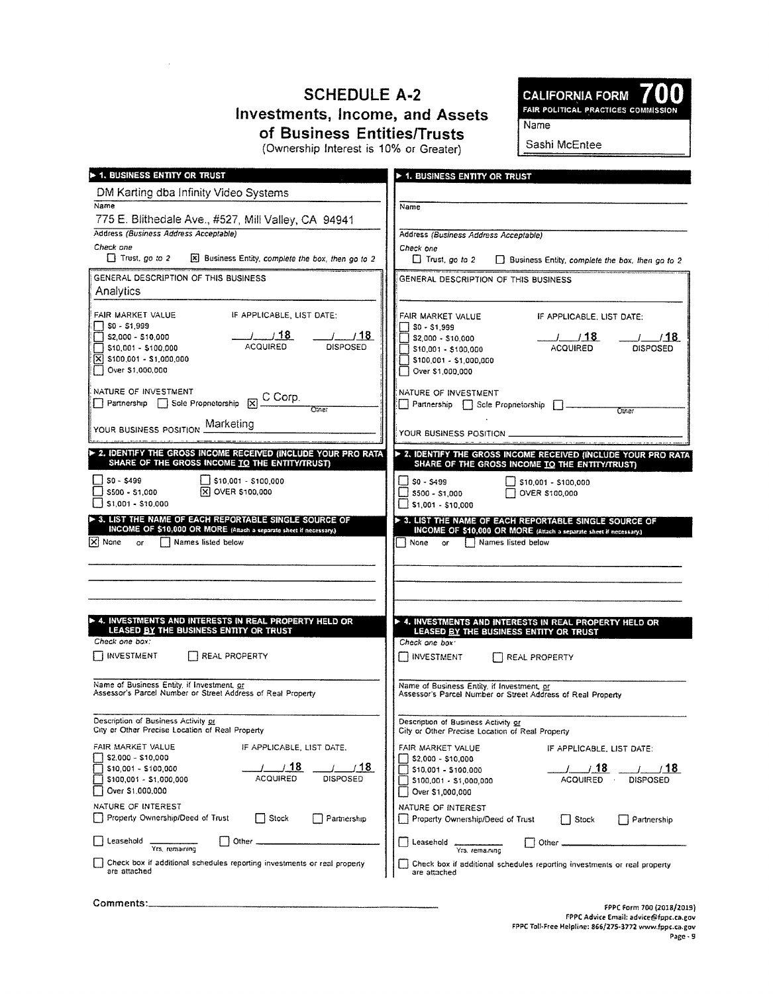## **SCHEDULE A-2 Investments, Income, and Assets** of Business Entities/Trusts

**CALIFORNIA FORM** FAIR POLITICAL PRACTICES COMMISSION Name

(Ownership Interest is 10% or Greater)

Sashi McEntee

| <b>1. BUSINESS ENTITY OR TRUST</b>                                                                                       | <b>&gt; 1. BUSINESS ENTITY OR TRUST</b>                                                                   |
|--------------------------------------------------------------------------------------------------------------------------|-----------------------------------------------------------------------------------------------------------|
| DM Karting dba Infinity Video Systems                                                                                    |                                                                                                           |
| Name                                                                                                                     | Name                                                                                                      |
| 775 E. Blithedale Ave., #527, Mill Valley, CA 94941                                                                      |                                                                                                           |
| Address (Business Address Acceptable)                                                                                    | Address (Business Address Acceptable)                                                                     |
| Check one<br>$\Box$ Trust, go to 2<br>[X] Business Entity, complete the box, then go to 2                                | Check one<br>$\Box$ Trust, go to 2                                                                        |
|                                                                                                                          | $\Box$ Business Entity, complete the box, then go to 2                                                    |
| GENERAL DESCRIPTION OF THIS BUSINESS                                                                                     | GENERAL DESCRIPTION OF THIS BUSINESS                                                                      |
| Analytics                                                                                                                |                                                                                                           |
| IF APPLICABLE, LIST DATE:<br>FAIR MARKET VALUE                                                                           | FAIR MARKET VALUE<br>IF APPLICABLE, LIST DATE:                                                            |
| SO - \$1,999                                                                                                             | $ $ SO - \$1,999                                                                                          |
| $-1$ $18$<br>$-1$ $18$<br>S2,000 - \$10,000<br><b>ACQUIRED</b><br><b>DISPOSED</b><br>\$10,001 - \$100,000                | $-1$ $18$<br>7718<br>S2,000 - \$10,000<br><b>ACQUIRED</b><br><b>DISPOSED</b><br>S10,001 - \$100,000       |
| $ \overline{x} $ \$100,001 - \$1,000,000                                                                                 | $ $ \$100,001 - \$1,000,000                                                                               |
| Over \$1,000,000                                                                                                         | Over \$1,000,000                                                                                          |
|                                                                                                                          | NATURE OF INVESTMENT                                                                                      |
| NATURE OF INVESTMENT<br>$\Box$ Partnership $\Box$ Sole Proprietorship $\boxtimes \frac{C \text{ Corp.}}{O \text{(Ghe)}}$ | Partnership Scie Proprietorship 2<br>Chrier                                                               |
|                                                                                                                          |                                                                                                           |
| YOUR BUSINESS POSITION Marketing                                                                                         | YOUR BUSINESS POSITION                                                                                    |
| 2. IDENTIFY THE GROSS INCOME RECEIVED (INCLUDE YOUR PRO RATA                                                             | > 2. IDENTIFY THE GROSS INCOME RECEIVED (INCLUDE YOUR PRO RATA                                            |
| SHARE OF THE GROSS INCOME TO THE ENTITY/TRUST)                                                                           | SHARE OF THE GROSS INCOME TO THE ENTITY/TRUST)                                                            |
| $S_0 - S_499$<br>$\bigcup$ \$10,001 - \$100,000                                                                          | $ $ SO - S499<br>$\frac{1}{2}$ \$10,001 - \$100,000                                                       |
| <b>冈 OVER \$100,000</b><br>\$500 - \$1,000<br>S1.001 - S10.000                                                           | OVER \$100,000<br>$ $ S500 - S1.000<br>$\frac{1}{2}$ \$1,001 - \$10,000                                   |
| > 3. LIST THE NAME OF EACH REPORTABLE SINGLE SOURCE OF                                                                   | > 3. LIST THE NAME OF EACH REPORTABLE SINGLE SOURCE OF                                                    |
| INCOME OF \$10,000 OR MORE (Attach a separate sheet if necessary.)                                                       | INCOME OF \$10,000 OR MORE (Attach a separate sheet if necessary.)                                        |
| $\mathsf{X}$ None<br>Names listed below<br>or.                                                                           | Names listed below<br>None<br>or                                                                          |
|                                                                                                                          |                                                                                                           |
|                                                                                                                          |                                                                                                           |
|                                                                                                                          |                                                                                                           |
|                                                                                                                          |                                                                                                           |
| 4. INVESTMENTS AND INTERESTS IN REAL PROPERTY HELD OR<br>LEASED BY THE BUSINESS ENTITY OR TRUST                          | A. INVESTMENTS AND INTERESTS IN REAL PROPERTY HELD OR<br>LEASED BY THE BUSINESS ENTITY OR TRUST           |
| Check one box:                                                                                                           | Check one box:                                                                                            |
| I INVESTMENT<br>REAL PROPERTY                                                                                            | <b>INVESTMENT</b><br>REAL PROPERTY                                                                        |
|                                                                                                                          |                                                                                                           |
| Name of Business Entity, if Investment, or<br>Assessor's Parcel Number or Street Address of Real Property                | Name of Business Entity, if Investment, or<br>Assessor's Parcel Number or Street Address of Real Property |
|                                                                                                                          |                                                                                                           |
| Description of Business Activity or                                                                                      | Description of Business Activity or                                                                       |
| City or Other Precise Location of Real Property                                                                          | City or Other Precise Location of Real Property                                                           |
| FAIR MARKET VALUE<br>IF APPLICABLE, LIST DATE.<br>\$2,000 - \$10,000                                                     | FAIR MARKET VALUE<br>IF APPLICABLE, LIST DATE:<br>\$2,000 - \$10,000                                      |
| / 18<br>18<br>\$10,001 - \$100,000                                                                                       | 78∶<br>\$10,001 - \$100,000                                                                               |
| DISPOSED<br>ACQUIRED<br>\$100,001 - \$1,000,000                                                                          | <b>ACQUIRED</b><br><b>DISPOSED</b><br>\$100,001 - \$1,000,000                                             |
| Over \$1,000,000                                                                                                         | Over \$1,000,000                                                                                          |
| NATURE OF INTEREST<br>Property Ownership/Deed of Trust<br><b>Stock</b>                                                   | NATURE OF INTEREST                                                                                        |
| Partnership                                                                                                              | Property Ownership/Deed of Trust<br>Stock<br>Partnership                                                  |
| Other<br>Leasehold<br>Yrs, remaining                                                                                     | Leasehold<br>Other<br>Yrs, remaining                                                                      |
| Check box if additional schedules reporting investments or real property                                                 | Check box if additional schedules reporting investments or real property                                  |
| are attached                                                                                                             | are attached                                                                                              |
|                                                                                                                          |                                                                                                           |

Comments: